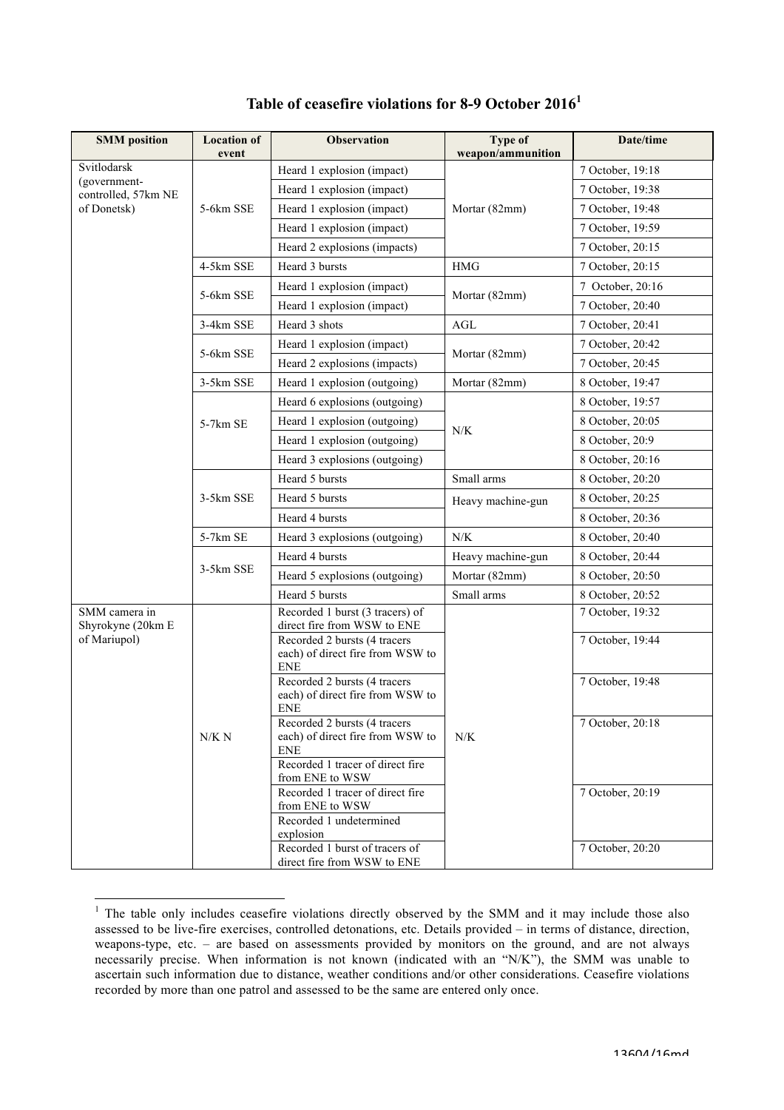| <b>SMM</b> position                 | <b>Location of</b> | <b>Observation</b>                                                             | Type of           | Date/time        |
|-------------------------------------|--------------------|--------------------------------------------------------------------------------|-------------------|------------------|
| Svitlodarsk                         | event              | Heard 1 explosion (impact)                                                     | weapon/ammunition | 7 October, 19:18 |
| (government-<br>controlled, 57km NE |                    | Heard 1 explosion (impact)                                                     |                   | 7 October, 19:38 |
|                                     |                    |                                                                                |                   |                  |
| of Donetsk)                         | 5-6km SSE          | Heard 1 explosion (impact)                                                     | Mortar (82mm)     | 7 October, 19:48 |
|                                     |                    | Heard 1 explosion (impact)                                                     |                   | 7 October, 19:59 |
|                                     |                    | Heard 2 explosions (impacts)                                                   |                   | 7 October, 20:15 |
|                                     | 4-5km SSE          | Heard 3 bursts                                                                 | <b>HMG</b>        | 7 October, 20:15 |
|                                     | 5-6km SSE          | Heard 1 explosion (impact)                                                     | Mortar (82mm)     | 7 October, 20:16 |
|                                     |                    | Heard 1 explosion (impact)                                                     |                   | 7 October, 20:40 |
|                                     | 3-4km SSE          | Heard 3 shots                                                                  | AGL               | 7 October, 20:41 |
|                                     | 5-6km SSE          | Heard 1 explosion (impact)                                                     | Mortar (82mm)     | 7 October, 20:42 |
|                                     |                    | Heard 2 explosions (impacts)                                                   |                   | 7 October, 20:45 |
|                                     | 3-5km SSE          | Heard 1 explosion (outgoing)                                                   | Mortar (82mm)     | 8 October, 19:47 |
|                                     |                    | Heard 6 explosions (outgoing)                                                  |                   | 8 October, 19:57 |
|                                     | 5-7km SE           | Heard 1 explosion (outgoing)                                                   |                   | 8 October, 20:05 |
|                                     |                    | Heard 1 explosion (outgoing)                                                   | N/K               | 8 October, 20:9  |
|                                     |                    | Heard 3 explosions (outgoing)                                                  |                   | 8 October, 20:16 |
|                                     |                    | Heard 5 bursts                                                                 | Small arms        | 8 October, 20:20 |
|                                     | 3-5km SSE          | Heard 5 bursts                                                                 | Heavy machine-gun | 8 October, 20:25 |
|                                     |                    | Heard 4 bursts                                                                 |                   | 8 October, 20:36 |
|                                     | 5-7km SE           | Heard 3 explosions (outgoing)                                                  | N/K               | 8 October, 20:40 |
|                                     |                    | Heard 4 bursts                                                                 | Heavy machine-gun | 8 October, 20:44 |
|                                     | 3-5km SSE          | Heard 5 explosions (outgoing)                                                  | Mortar (82mm)     | 8 October, 20:50 |
|                                     |                    | Heard 5 bursts                                                                 | Small arms        | 8 October, 20:52 |
| SMM camera in<br>Shyrokyne (20km E  | N/K N              | Recorded 1 burst (3 tracers) of<br>direct fire from WSW to ENE                 | N/K               | 7 October, 19:32 |
| of Mariupol)                        |                    | Recorded 2 bursts (4 tracers<br>each) of direct fire from WSW to<br><b>ENE</b> |                   | 7 October, 19:44 |
|                                     |                    | Recorded 2 bursts (4 tracers<br>each) of direct fire from WSW to<br><b>ENE</b> |                   | 7 October, 19:48 |
|                                     |                    | Recorded 2 bursts (4 tracers<br>each) of direct fire from WSW to<br><b>ENE</b> |                   | 7 October, 20:18 |
|                                     |                    | Recorded 1 tracer of direct fire<br>from ENE to WSW                            |                   |                  |
|                                     |                    | Recorded 1 tracer of direct fire<br>from ENE to WSW<br>Recorded 1 undetermined |                   | 7 October, 20:19 |
|                                     |                    | explosion<br>Recorded 1 burst of tracers of                                    |                   | 7 October, 20:20 |
|                                     |                    | direct fire from WSW to ENE                                                    |                   |                  |

## **Table of ceasefire violations for 8-9 October 2016<sup>1</sup>**

<sup>&</sup>lt;sup>1</sup> The table only includes ceasefire violations directly observed by the SMM and it may include those also assessed to be live-fire exercises, controlled detonations, etc. Details provided – in terms of distance, direction, weapons-type, etc. – are based on assessments provided by monitors on the ground, and are not always necessarily precise. When information is not known (indicated with an "N/K"), the SMM was unable to ascertain such information due to distance, weather conditions and/or other considerations. Ceasefire violations recorded by more than one patrol and assessed to be the same are entered only once.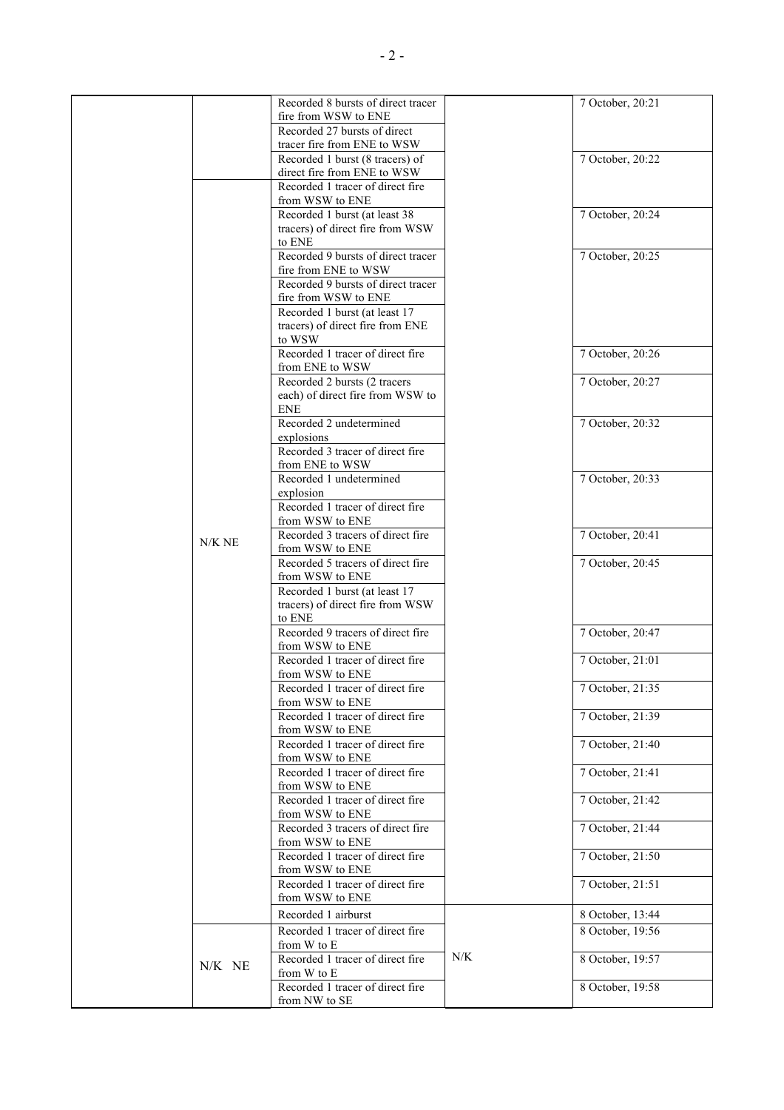|  |          | Recorded 8 bursts of direct tracer                         |     | 7 October, 20:21 |
|--|----------|------------------------------------------------------------|-----|------------------|
|  |          | fire from WSW to ENE                                       |     |                  |
|  |          | Recorded 27 bursts of direct                               |     |                  |
|  |          | tracer fire from ENE to WSW                                |     |                  |
|  |          | Recorded 1 burst (8 tracers) of                            |     | 7 October, 20:22 |
|  |          | direct fire from ENE to WSW                                |     |                  |
|  |          | Recorded 1 tracer of direct fire                           |     |                  |
|  |          | from WSW to ENE                                            |     |                  |
|  |          | Recorded 1 burst (at least 38                              |     | 7 October, 20:24 |
|  |          | tracers) of direct fire from WSW                           |     |                  |
|  |          | to ENE                                                     |     |                  |
|  |          | Recorded 9 bursts of direct tracer                         |     | 7 October, 20:25 |
|  |          |                                                            |     |                  |
|  |          | fire from ENE to WSW<br>Recorded 9 bursts of direct tracer |     |                  |
|  |          |                                                            |     |                  |
|  |          | fire from WSW to ENE                                       |     |                  |
|  |          | Recorded 1 burst (at least 17                              |     |                  |
|  |          | tracers) of direct fire from ENE                           |     |                  |
|  |          | to WSW                                                     |     |                  |
|  |          | Recorded 1 tracer of direct fire                           |     | 7 October, 20:26 |
|  |          | from ENE to WSW                                            |     |                  |
|  |          | Recorded 2 bursts (2 tracers                               |     | 7 October, 20:27 |
|  |          | each) of direct fire from WSW to                           |     |                  |
|  |          | ENE                                                        |     |                  |
|  |          | Recorded 2 undetermined                                    |     | 7 October, 20:32 |
|  |          | explosions                                                 |     |                  |
|  |          | Recorded 3 tracer of direct fire                           |     |                  |
|  |          | from ENE to WSW                                            |     |                  |
|  |          | Recorded 1 undetermined                                    |     | 7 October, 20:33 |
|  |          | explosion                                                  |     |                  |
|  |          | Recorded 1 tracer of direct fire                           |     |                  |
|  |          | from WSW to ENE                                            |     |                  |
|  |          | Recorded 3 tracers of direct fire                          |     | 7 October, 20:41 |
|  | $N/K$ NE | from WSW to ENE                                            |     |                  |
|  |          | Recorded 5 tracers of direct fire                          |     | 7 October, 20:45 |
|  |          | from WSW to ENE                                            |     |                  |
|  |          | Recorded 1 burst (at least 17                              |     |                  |
|  |          | tracers) of direct fire from WSW                           |     |                  |
|  |          | to ENE                                                     |     |                  |
|  |          | Recorded 9 tracers of direct fire                          |     | 7 October, 20:47 |
|  |          | from WSW to ENE                                            |     |                  |
|  |          | Recorded 1 tracer of direct fire                           |     | 7 October, 21:01 |
|  |          | from WSW to ENE                                            |     |                  |
|  |          | Recorded 1 tracer of direct fire                           |     | 7 October, 21:35 |
|  |          | from WSW to ENE                                            |     |                  |
|  |          | Recorded 1 tracer of direct fire                           |     | 7 October, 21:39 |
|  |          | from WSW to ENE                                            |     |                  |
|  |          | Recorded 1 tracer of direct fire                           |     | 7 October, 21:40 |
|  |          | from WSW to ENE                                            |     |                  |
|  |          | Recorded 1 tracer of direct fire                           |     | 7 October, 21:41 |
|  |          | from WSW to ENE                                            |     |                  |
|  |          | Recorded 1 tracer of direct fire                           |     | 7 October, 21:42 |
|  |          | from WSW to ENE                                            |     |                  |
|  |          | Recorded 3 tracers of direct fire                          |     | 7 October, 21:44 |
|  |          | from WSW to ENE                                            |     |                  |
|  |          | Recorded 1 tracer of direct fire                           |     | 7 October, 21:50 |
|  |          | from WSW to ENE                                            |     |                  |
|  |          | Recorded 1 tracer of direct fire                           |     | 7 October, 21:51 |
|  |          | from WSW to ENE                                            |     |                  |
|  |          |                                                            |     |                  |
|  |          | Recorded 1 airburst                                        |     | 8 October, 13:44 |
|  |          | Recorded 1 tracer of direct fire                           |     | 8 October, 19:56 |
|  |          | from W to E                                                |     |                  |
|  | N/K NE   | Recorded 1 tracer of direct fire                           | N/K | 8 October, 19:57 |
|  |          | from W to E                                                |     |                  |
|  |          | Recorded 1 tracer of direct fire                           |     | 8 October, 19:58 |
|  |          | from NW to SE                                              |     |                  |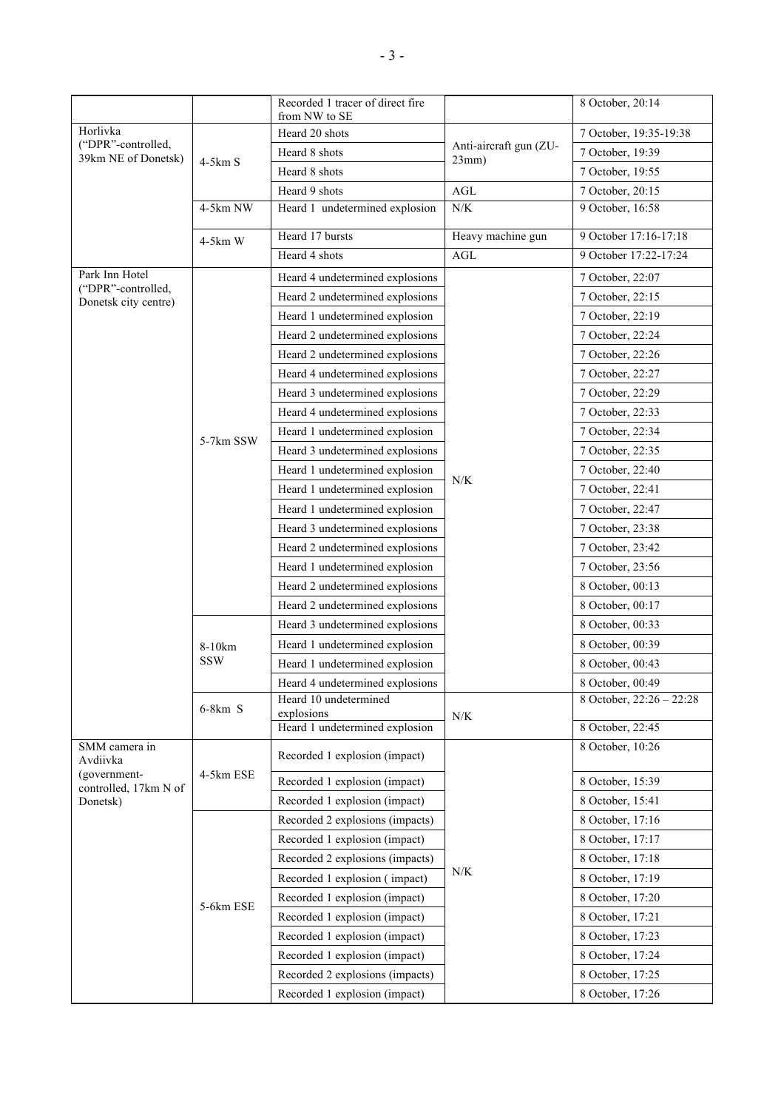|                                            |                      | Recorded 1 tracer of direct fire                |                             | 8 October, 20:14                     |
|--------------------------------------------|----------------------|-------------------------------------------------|-----------------------------|--------------------------------------|
| Horlivka                                   |                      | from NW to SE                                   |                             |                                      |
| ("DPR"-controlled,<br>39km NE of Donetsk)  | $4-5km S$            | Heard 20 shots                                  | Anti-aircraft gun (ZU-      | 7 October, 19:35-19:38               |
|                                            |                      | Heard 8 shots                                   | 23mm)                       | 7 October, 19:39                     |
|                                            |                      | Heard 8 shots                                   |                             | 7 October, 19:55                     |
|                                            | 4-5km NW             | Heard 9 shots<br>Heard 1 undetermined explosion | $\operatorname{AGL}$<br>N/K | 7 October, 20:15<br>9 October, 16:58 |
|                                            |                      |                                                 |                             |                                      |
|                                            | $4-5km$ W            | Heard 17 bursts                                 | Heavy machine gun           | 9 October 17:16-17:18                |
|                                            |                      | Heard 4 shots                                   | AGL                         | 9 October 17:22-17:24                |
| Park Inn Hotel                             |                      | Heard 4 undetermined explosions                 |                             | 7 October, 22:07                     |
| ("DPR"-controlled,<br>Donetsk city centre) |                      | Heard 2 undetermined explosions                 |                             | 7 October, 22:15                     |
|                                            |                      | Heard 1 undetermined explosion                  |                             | 7 October, 22:19                     |
|                                            |                      | Heard 2 undetermined explosions                 |                             | 7 October, 22:24                     |
|                                            |                      | Heard 2 undetermined explosions                 |                             | 7 October, 22:26                     |
|                                            |                      | Heard 4 undetermined explosions                 |                             | 7 October, 22:27                     |
|                                            |                      | Heard 3 undetermined explosions                 |                             | 7 October, 22:29                     |
|                                            |                      | Heard 4 undetermined explosions                 |                             | 7 October, 22:33                     |
|                                            |                      | Heard 1 undetermined explosion                  |                             | 7 October, 22:34                     |
|                                            | 5-7km SSW            | Heard 3 undetermined explosions                 |                             | 7 October, 22:35                     |
|                                            |                      | Heard 1 undetermined explosion                  |                             | 7 October, 22:40                     |
|                                            |                      | Heard 1 undetermined explosion                  | N/K                         | 7 October, 22:41                     |
|                                            |                      | Heard 1 undetermined explosion                  |                             | 7 October, 22:47                     |
|                                            |                      | Heard 3 undetermined explosions                 |                             | 7 October, 23:38                     |
|                                            |                      | Heard 2 undetermined explosions                 |                             | 7 October, 23:42                     |
|                                            |                      | Heard 1 undetermined explosion                  |                             | 7 October, 23:56                     |
|                                            |                      | Heard 2 undetermined explosions                 |                             | 8 October, 00:13                     |
|                                            |                      | Heard 2 undetermined explosions                 |                             | 8 October, 00:17                     |
|                                            | 8-10km<br><b>SSW</b> | Heard 3 undetermined explosions                 |                             | 8 October, 00:33                     |
|                                            |                      | Heard 1 undetermined explosion                  |                             | 8 October, 00:39                     |
|                                            |                      | Heard 1 undetermined explosion                  |                             | 8 October, 00:43                     |
|                                            |                      | Heard 4 undetermined explosions                 |                             | 8 October, 00:49                     |
|                                            | $6-8km$ S            | Heard 10 undetermined                           |                             | 8 October, 22:26 - 22:28             |
|                                            |                      | explosions<br>Heard 1 undetermined explosion    | N/K                         | 8 October, 22:45                     |
| SMM camera in                              |                      |                                                 |                             | 8 October, 10:26                     |
| Avdiivka                                   | 4-5km ESE            | Recorded 1 explosion (impact)                   |                             |                                      |
| (government-                               |                      | Recorded 1 explosion (impact)                   |                             | 8 October, 15:39                     |
| controlled, 17km N of<br>Donetsk)          |                      | Recorded 1 explosion (impact)                   |                             | 8 October, 15:41                     |
|                                            | 5-6km ESE            | Recorded 2 explosions (impacts)                 | N/K                         | 8 October, 17:16                     |
|                                            |                      | Recorded 1 explosion (impact)                   |                             | 8 October, 17:17                     |
|                                            |                      | Recorded 2 explosions (impacts)                 |                             | 8 October, 17:18                     |
|                                            |                      | Recorded 1 explosion (impact)                   |                             | 8 October, 17:19                     |
|                                            |                      | Recorded 1 explosion (impact)                   |                             | 8 October, 17:20                     |
|                                            |                      | Recorded 1 explosion (impact)                   |                             | 8 October, 17:21                     |
|                                            |                      | Recorded 1 explosion (impact)                   |                             | 8 October, 17:23                     |
|                                            |                      | Recorded 1 explosion (impact)                   |                             | 8 October, 17:24                     |
|                                            |                      | Recorded 2 explosions (impacts)                 |                             | 8 October, 17:25                     |
|                                            |                      | Recorded 1 explosion (impact)                   |                             | 8 October, 17:26                     |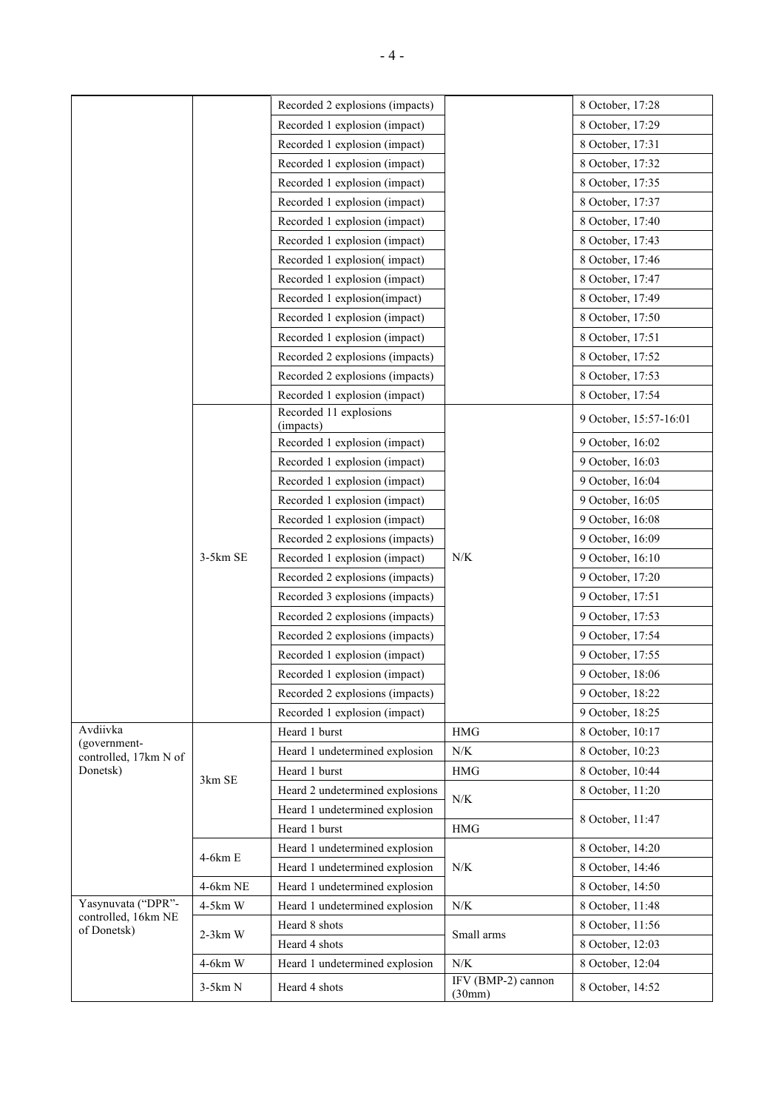|                                       |            | Recorded 2 explosions (impacts)     |                              | 8 October, 17:28       |
|---------------------------------------|------------|-------------------------------------|------------------------------|------------------------|
|                                       |            | Recorded 1 explosion (impact)       |                              | 8 October, 17:29       |
|                                       |            | Recorded 1 explosion (impact)       |                              | 8 October, 17:31       |
|                                       |            | Recorded 1 explosion (impact)       |                              | 8 October, 17:32       |
|                                       |            | Recorded 1 explosion (impact)       |                              | 8 October, 17:35       |
|                                       |            | Recorded 1 explosion (impact)       |                              | 8 October, 17:37       |
|                                       |            | Recorded 1 explosion (impact)       |                              | 8 October, 17:40       |
|                                       |            | Recorded 1 explosion (impact)       |                              | 8 October, 17:43       |
|                                       |            | Recorded 1 explosion(impact)        |                              | 8 October, 17:46       |
|                                       |            | Recorded 1 explosion (impact)       |                              | 8 October, 17:47       |
|                                       |            | Recorded 1 explosion(impact)        |                              | 8 October, 17:49       |
|                                       |            | Recorded 1 explosion (impact)       |                              | 8 October, 17:50       |
|                                       |            | Recorded 1 explosion (impact)       |                              | 8 October, 17:51       |
|                                       |            | Recorded 2 explosions (impacts)     |                              | 8 October, 17:52       |
|                                       |            | Recorded 2 explosions (impacts)     |                              | 8 October, 17:53       |
|                                       |            | Recorded 1 explosion (impact)       |                              | 8 October, 17:54       |
|                                       |            | Recorded 11 explosions<br>(impacts) |                              | 9 October, 15:57-16:01 |
|                                       |            | Recorded 1 explosion (impact)       |                              | 9 October, 16:02       |
|                                       |            | Recorded 1 explosion (impact)       |                              | 9 October, 16:03       |
|                                       |            | Recorded 1 explosion (impact)       |                              | 9 October, 16:04       |
|                                       |            | Recorded 1 explosion (impact)       |                              | 9 October, 16:05       |
|                                       |            | Recorded 1 explosion (impact)       |                              | 9 October, 16:08       |
|                                       |            | Recorded 2 explosions (impacts)     |                              | 9 October, 16:09       |
|                                       | $3-5km$ SE | Recorded 1 explosion (impact)       | N/K                          | 9 October, 16:10       |
|                                       |            | Recorded 2 explosions (impacts)     |                              | 9 October, 17:20       |
|                                       |            | Recorded 3 explosions (impacts)     |                              | 9 October, 17:51       |
|                                       |            | Recorded 2 explosions (impacts)     |                              | 9 October, 17:53       |
|                                       |            | Recorded 2 explosions (impacts)     |                              | 9 October, 17:54       |
|                                       |            | Recorded 1 explosion (impact)       |                              | 9 October, 17:55       |
|                                       |            | Recorded 1 explosion (impact)       |                              | 9 October, 18:06       |
|                                       |            | Recorded 2 explosions (impacts)     |                              | 9 October, 18:22       |
|                                       |            | Recorded 1 explosion (impact)       |                              | 9 October, 18:25       |
| Avdiivka                              |            | Heard 1 burst                       | HMG                          | 8 October, 10:17       |
| (government-<br>controlled, 17km N of | 3km SE     | Heard 1 undetermined explosion      | N/K                          | 8 October, 10:23       |
| Donetsk)                              |            | Heard 1 burst                       | $\rm HMG$                    | 8 October, 10:44       |
|                                       |            | Heard 2 undetermined explosions     |                              | 8 October, 11:20       |
|                                       |            | Heard 1 undetermined explosion      | N/K                          |                        |
|                                       |            | Heard 1 burst                       | $\rm HMG$                    | 8 October, 11:47       |
|                                       |            | Heard 1 undetermined explosion      |                              | 8 October, 14:20       |
|                                       | 4-6km E    | Heard 1 undetermined explosion      | N/K                          | 8 October, 14:46       |
|                                       | 4-6km NE   | Heard 1 undetermined explosion      |                              | 8 October, 14:50       |
| Yasynuvata ("DPR"-                    | 4-5km W    | Heard 1 undetermined explosion      | N/K                          | 8 October, 11:48       |
| controlled, 16km NE<br>of Donetsk)    |            | Heard 8 shots                       |                              | 8 October, 11:56       |
|                                       | $2-3km$ W  | Heard 4 shots                       | Small arms                   | 8 October, 12:03       |
|                                       | 4-6km W    | Heard 1 undetermined explosion      | N/K                          | 8 October, 12:04       |
|                                       | $3-5km N$  | Heard 4 shots                       | IFV (BMP-2) cannon<br>(30mm) | 8 October, 14:52       |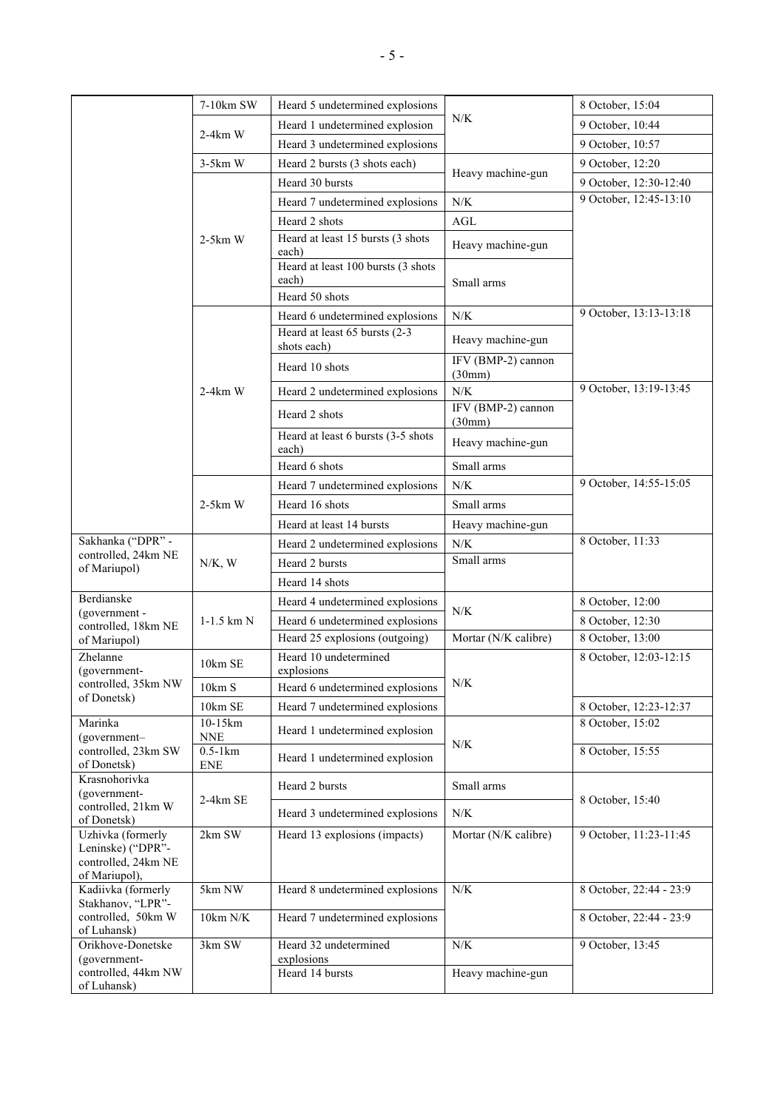|                                                                    | 7-10km SW                              | Heard 5 undetermined explosions              |                              | 8 October, 15:04        |
|--------------------------------------------------------------------|----------------------------------------|----------------------------------------------|------------------------------|-------------------------|
|                                                                    | $2-4km$ W                              | Heard 1 undetermined explosion               | N/K                          | 9 October, 10:44        |
|                                                                    |                                        | Heard 3 undetermined explosions              |                              | 9 October, 10:57        |
|                                                                    | $3-5km$ W                              | Heard 2 bursts (3 shots each)                |                              | 9 October, 12:20        |
|                                                                    |                                        | Heard 30 bursts                              | Heavy machine-gun            | 9 October, 12:30-12:40  |
|                                                                    |                                        | Heard 7 undetermined explosions              | N/K                          | 9 October, 12:45-13:10  |
|                                                                    |                                        | Heard 2 shots                                | AGL                          |                         |
|                                                                    | $2-5km$ W                              | Heard at least 15 bursts (3 shots            |                              |                         |
|                                                                    |                                        | each)                                        | Heavy machine-gun            |                         |
|                                                                    |                                        | Heard at least 100 bursts (3 shots<br>each)  | Small arms                   |                         |
|                                                                    |                                        | Heard 50 shots                               |                              |                         |
|                                                                    |                                        | Heard 6 undetermined explosions              | N/K                          | 9 October, 13:13-13:18  |
|                                                                    |                                        | Heard at least 65 bursts (2-3<br>shots each) | Heavy machine-gun            |                         |
|                                                                    |                                        | Heard 10 shots                               | IFV (BMP-2) cannon<br>(30mm) |                         |
|                                                                    | 2-4km W                                | Heard 2 undetermined explosions              | ${\rm N/K}$                  | 9 October, 13:19-13:45  |
|                                                                    |                                        | Heard 2 shots                                | IFV (BMP-2) cannon<br>(30mm) |                         |
|                                                                    |                                        | Heard at least 6 bursts (3-5 shots<br>each)  | Heavy machine-gun            |                         |
|                                                                    |                                        | Heard 6 shots                                | Small arms                   |                         |
|                                                                    |                                        | Heard 7 undetermined explosions              | ${\rm N/K}$                  | 9 October, 14:55-15:05  |
|                                                                    | $2-5km$ W                              | Heard 16 shots                               | Small arms                   |                         |
|                                                                    |                                        | Heard at least 14 bursts                     | Heavy machine-gun            |                         |
| Sakhanka ("DPR" -                                                  | $N/K$ , W                              | Heard 2 undetermined explosions              | ${\rm N/K}$                  | 8 October, 11:33        |
| controlled, 24km NE<br>of Mariupol)                                |                                        | Heard 2 bursts                               | Small arms                   |                         |
|                                                                    |                                        | Heard 14 shots                               |                              |                         |
| Berdianske                                                         | $1-1.5$ km $N$                         | Heard 4 undetermined explosions              | N/K                          | 8 October, 12:00        |
| (government -<br>controlled, 18km NE                               |                                        | Heard 6 undetermined explosions              |                              | 8 October, 12:30        |
| of Mariupol)                                                       |                                        | Heard 25 explosions (outgoing)               | Mortar (N/K calibre)         | 8 October, 13:00        |
| Zhelanne<br>(government-                                           | 10km SE                                | Heard 10 undetermined<br>explosions          |                              | 8 October, 12:03-12:15  |
| controlled, 35km NW                                                | 10km S                                 | Heard 6 undetermined explosions              | N/K                          |                         |
| of Donetsk)                                                        | 10km SE                                | Heard 7 undetermined explosions              |                              | 8 October, 12:23-12:37  |
| Marinka<br>(government-                                            | 10-15km<br>$\ensuremath{\mathsf{NNE}}$ | Heard 1 undetermined explosion               | N/K                          | 8 October, 15:02        |
| controlled, 23km SW<br>of Donetsk)                                 | $0.5-1km$<br><b>ENE</b>                | Heard 1 undetermined explosion               |                              | 8 October, 15:55        |
| Krasnohorivka<br>(government-<br>controlled, 21km W<br>of Donetsk) |                                        | Heard 2 bursts                               | Small arms                   |                         |
|                                                                    | 2-4km SE                               | Heard 3 undetermined explosions              | $N\!/\!K$                    | 8 October, 15:40        |
| Uzhivka (formerly                                                  | 2km SW                                 | Heard 13 explosions (impacts)                | Mortar (N/K calibre)         | 9 October, 11:23-11:45  |
| Leninske) ("DPR"-<br>controlled, 24km NE                           |                                        |                                              |                              |                         |
| of Mariupol),                                                      |                                        |                                              |                              |                         |
| Kadiivka (formerly<br>Stakhanov, "LPR"-                            | 5km NW                                 | Heard 8 undetermined explosions              | ${\rm N/K}$                  | 8 October, 22:44 - 23:9 |
| controlled, 50km W<br>of Luhansk)                                  | $10 \text{km} \ \text{N/K}$            | Heard 7 undetermined explosions              |                              | 8 October, 22:44 - 23:9 |
| Orikhove-Donetske                                                  | 3km SW                                 | Heard 32 undetermined                        | ${\rm N/K}$                  | 9 October, 13:45        |
| (government-<br>controlled, 44km NW                                |                                        | explosions<br>Heard 14 bursts                |                              |                         |
| of Luhansk)                                                        |                                        |                                              | Heavy machine-gun            |                         |